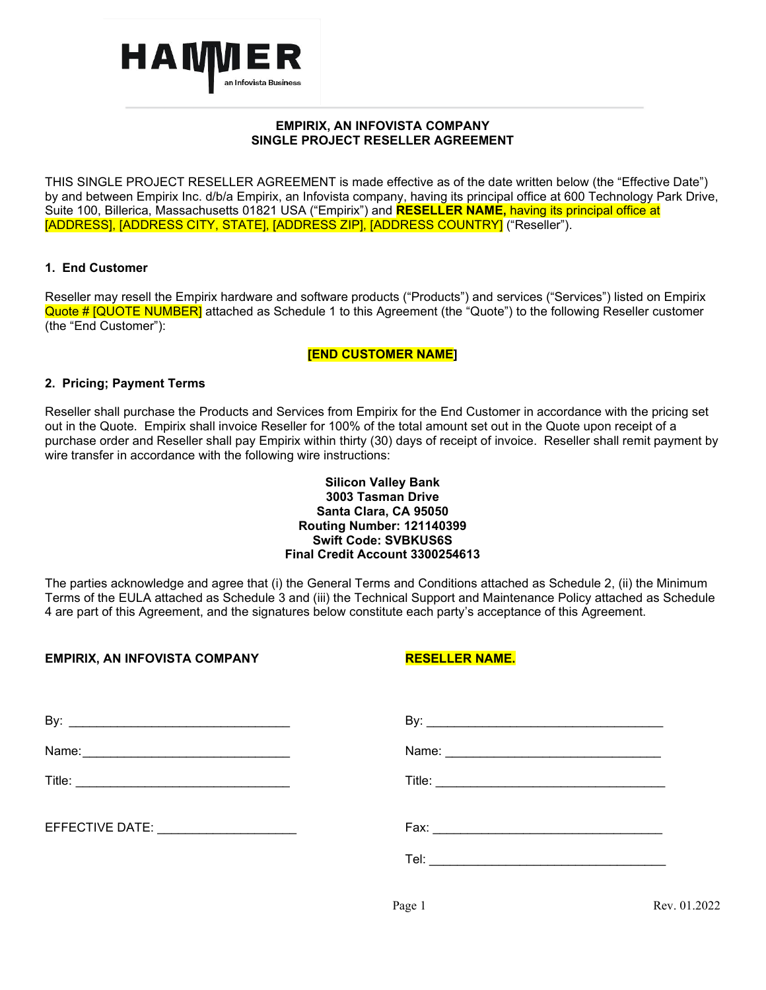

# **EMPIRIX, AN INFOVISTA COMPANY SINGLE PROJECT RESELLER AGREEMENT**

THIS SINGLE PROJECT RESELLER AGREEMENT is made effective as of the date written below (the "Effective Date") by and between Empirix Inc. d/b/a Empirix, an Infovista company, having its principal office at 600 Technology Park Drive, Suite 100, Billerica, Massachusetts 01821 USA ("Empirix") and **RESELLER NAME,** having its principal office at [ADDRESS], [ADDRESS CITY, STATE], [ADDRESS ZIP], [ADDRESS COUNTRY] ("Reseller").

# **1. End Customer**

Reseller may resell the Empirix hardware and software products ("Products") and services ("Services") listed on Empirix Quote # [QUOTE NUMBER] attached as Schedule 1 to this Agreement (the "Quote") to the following Reseller customer (the "End Customer"):

# **[END CUSTOMER NAME]**

# **2. Pricing; Payment Terms**

Reseller shall purchase the Products and Services from Empirix for the End Customer in accordance with the pricing set out in the Quote. Empirix shall invoice Reseller for 100% of the total amount set out in the Quote upon receipt of a purchase order and Reseller shall pay Empirix within thirty (30) days of receipt of invoice. Reseller shall remit payment by wire transfer in accordance with the following wire instructions:

# **Silicon Valley Bank 3003 Tasman Drive Santa Clara, CA 95050 Routing Number: 121140399 Swift Code: SVBKUS6S Final Credit Account 3300254613**

The parties acknowledge and agree that (i) the General Terms and Conditions attached as Schedule 2, (ii) the Minimum Terms of the EULA attached as Schedule 3 and (iii) the Technical Support and Maintenance Policy attached as Schedule 4 are part of this Agreement, and the signatures below constitute each party's acceptance of this Agreement.

# **EMPIRIX, AN INFOVISTA COMPANY RESELLER NAME.**

|                                        | By: $\overline{\phantom{a}}$ |
|----------------------------------------|------------------------------|
|                                        |                              |
|                                        |                              |
| EFFECTIVE DATE: ______________________ |                              |
|                                        |                              |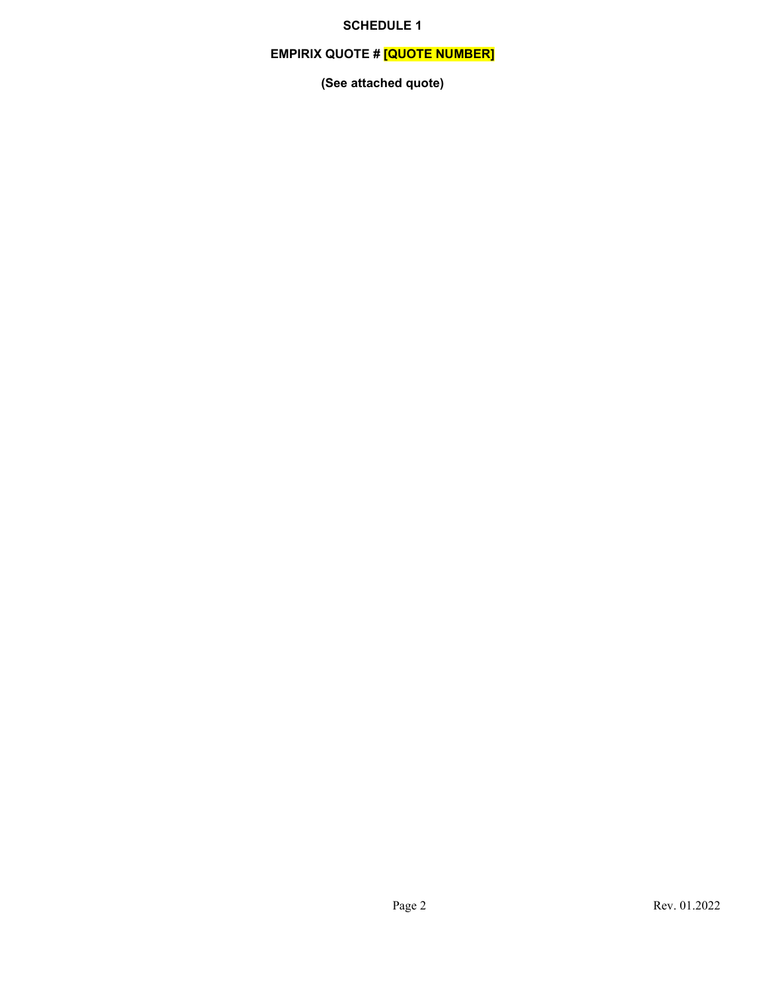# **SCHEDULE 1**

# **EMPIRIX QUOTE # [QUOTE NUMBER]**

**(See attached quote)**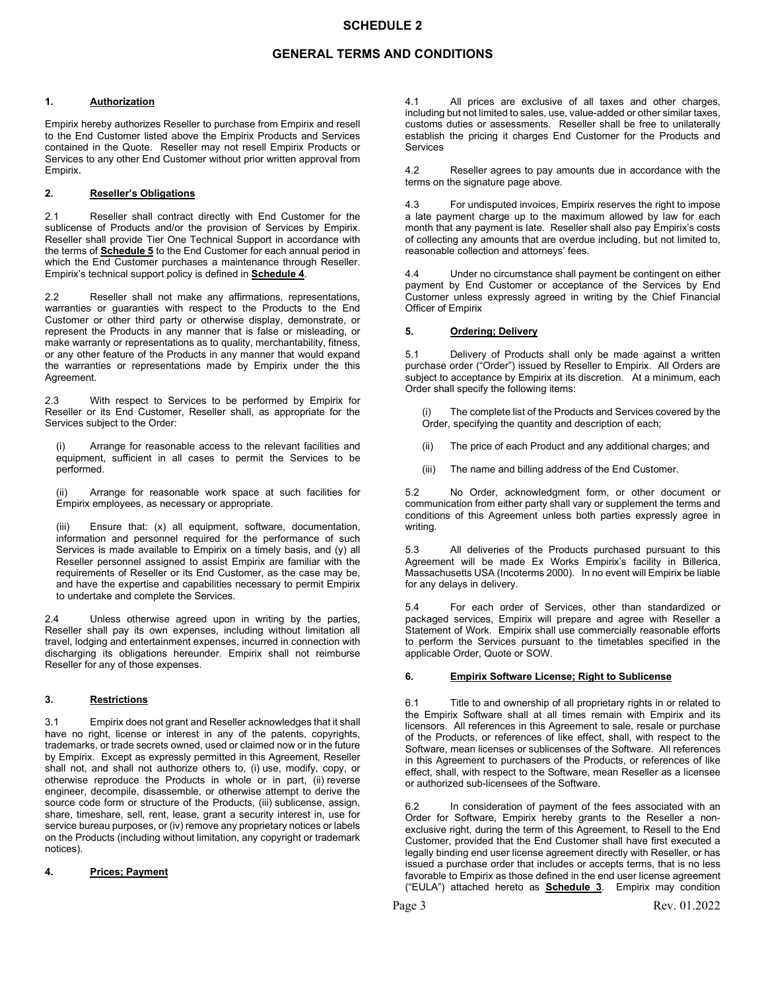# **GENERAL TERMS AND CONDITIONS**

#### **1. Authorization**

Empirix hereby authorizes Reseller to purchase from Empirix and resell to the End Customer listed above the Empirix Products and Services contained in the Quote. Reseller may not resell Empirix Products or Services to any other End Customer without prior written approval from Empirix.

# **2. Reseller's Obligations**

2.1 Reseller shall contract directly with End Customer for the sublicense of Products and/or the provision of Services by Empirix. Reseller shall provide Tier One Technical Support in accordance with the terms of **Schedule 5** to the End Customer for each annual period in which the End Customer purchases a maintenance through Reseller. Empirix's technical support policy is defined in **Schedule 4**.

2.2 Reseller shall not make any affirmations, representations, warranties or guaranties with respect to the Products to the End Customer or other third party or otherwise display, demonstrate, or represent the Products in any manner that is false or misleading, or make warranty or representations as to quality, merchantability, fitness, or any other feature of the Products in any manner that would expand the warranties or representations made by Empirix under the this Agreement.

2.3 With respect to Services to be performed by Empirix for Reseller or its End Customer, Reseller shall, as appropriate for the Services subject to the Order:

Arrange for reasonable access to the relevant facilities and equipment, sufficient in all cases to permit the Services to be performed.

(ii) Arrange for reasonable work space at such facilities for Empirix employees, as necessary or appropriate.

Ensure that:  $(x)$  all equipment, software, documentation, information and personnel required for the performance of such Services is made available to Empirix on a timely basis, and (y) all Reseller personnel assigned to assist Empirix are familiar with the requirements of Reseller or its End Customer, as the case may be, and have the expertise and capabilities necessary to permit Empirix to undertake and complete the Services.

2.4 Unless otherwise agreed upon in writing by the parties, Reseller shall pay its own expenses, including without limitation all travel, lodging and entertainment expenses, incurred in connection with discharging its obligations hereunder. Empirix shall not reimburse Reseller for any of those expenses.

### **3. Restrictions**

3.1 Empirix does not grant and Reseller acknowledges that it shall have no right, license or interest in any of the patents, copyrights, trademarks, or trade secrets owned, used or claimed now or in the future by Empirix. Except as expressly permitted in this Agreement, Reseller shall not, and shall not authorize others to, (i) use, modify, copy, or otherwise reproduce the Products in whole or in part, (ii) reverse engineer, decompile, disassemble, or otherwise attempt to derive the source code form or structure of the Products, (iii) sublicense, assign, share, timeshare, sell, rent, lease, grant a security interest in, use for service bureau purposes, or (iv) remove any proprietary notices or labels on the Products (including without limitation, any copyright or trademark notices).

### **4. Prices; Payment**

4.1 All prices are exclusive of all taxes and other charges, including but not limited to sales, use, value-added or other similar taxes, customs duties or assessments. Reseller shall be free to unilaterally establish the pricing it charges End Customer for the Products and **Services** 

4.2 Reseller agrees to pay amounts due in accordance with the terms on the signature page above.

4.3 For undisputed invoices, Empirix reserves the right to impose a late payment charge up to the maximum allowed by law for each month that any payment is late. Reseller shall also pay Empirix's costs of collecting any amounts that are overdue including, but not limited to, reasonable collection and attorneys' fees.

4.4 Under no circumstance shall payment be contingent on either payment by End Customer or acceptance of the Services by End Customer unless expressly agreed in writing by the Chief Financial Officer of Empirix

#### **5. Ordering; Delivery**

5.1 Delivery of Products shall only be made against a written purchase order ("Order") issued by Reseller to Empirix. All Orders are subject to acceptance by Empirix at its discretion. At a minimum, each Order shall specify the following items:

The complete list of the Products and Services covered by the Order, specifying the quantity and description of each;

- (ii) The price of each Product and any additional charges; and
- (iii) The name and billing address of the End Customer.

5.2 No Order, acknowledgment form, or other document or communication from either party shall vary or supplement the terms and conditions of this Agreement unless both parties expressly agree in writing.

5.3 All deliveries of the Products purchased pursuant to this Agreement will be made Ex Works Empirix's facility in Billerica, Massachusetts USA (Incoterms 2000). In no event will Empirix be liable for any delays in delivery.

5.4 For each order of Services, other than standardized or packaged services, Empirix will prepare and agree with Reseller a Statement of Work. Empirix shall use commercially reasonable efforts to perform the Services pursuant to the timetables specified in the applicable Order, Quote or SOW.

#### **6. Empirix Software License; Right to Sublicense**

6.1 Title to and ownership of all proprietary rights in or related to the Empirix Software shall at all times remain with Empirix and its licensors. All references in this Agreement to sale, resale or purchase of the Products, or references of like effect, shall, with respect to the Software, mean licenses or sublicenses of the Software. All references in this Agreement to purchasers of the Products, or references of like effect, shall, with respect to the Software, mean Reseller as a licensee or authorized sub-licensees of the Software.

6.2 In consideration of payment of the fees associated with an Order for Software, Empirix hereby grants to the Reseller a nonexclusive right, during the term of this Agreement, to Resell to the End Customer, provided that the End Customer shall have first executed a legally binding end user license agreement directly with Reseller, or has issued a purchase order that includes or accepts terms, that is no less favorable to Empirix as those defined in the end user license agreement ("EULA") attached hereto as **Schedule 3**. Empirix may condition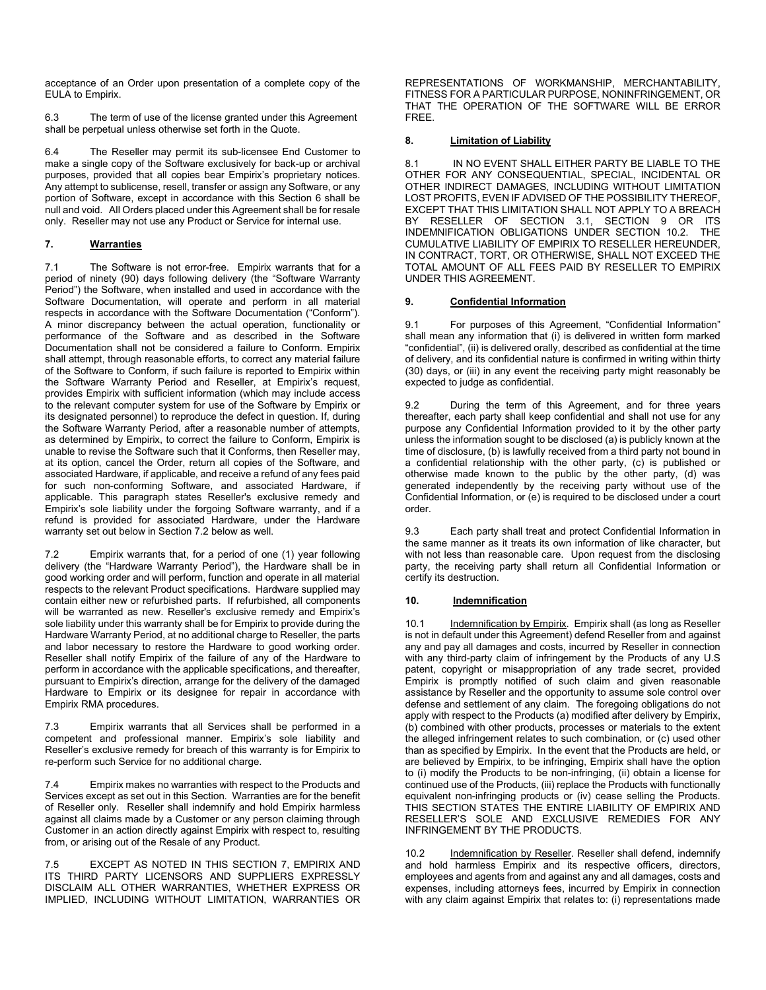acceptance of an Order upon presentation of a complete copy of the EULA to Empirix.

6.3 The term of use of the license granted under this Agreement shall be perpetual unless otherwise set forth in the Quote.

6.4 The Reseller may permit its sub-licensee End Customer to make a single copy of the Software exclusively for back-up or archival purposes, provided that all copies bear Empirix's proprietary notices. Any attempt to sublicense, resell, transfer or assign any Software, or any portion of Software, except in accordance with this Section 6 shall be null and void. All Orders placed under this Agreement shall be for resale only. Reseller may not use any Product or Service for internal use.

# **7. Warranties**

7.1 The Software is not error-free. Empirix warrants that for a period of ninety (90) days following delivery (the "Software Warranty Period") the Software, when installed and used in accordance with the Software Documentation, will operate and perform in all material respects in accordance with the Software Documentation ("Conform"). A minor discrepancy between the actual operation, functionality or performance of the Software and as described in the Software Documentation shall not be considered a failure to Conform. Empirix shall attempt, through reasonable efforts, to correct any material failure of the Software to Conform, if such failure is reported to Empirix within the Software Warranty Period and Reseller, at Empirix's request, provides Empirix with sufficient information (which may include access to the relevant computer system for use of the Software by Empirix or its designated personnel) to reproduce the defect in question. If, during the Software Warranty Period, after a reasonable number of attempts, as determined by Empirix, to correct the failure to Conform, Empirix is unable to revise the Software such that it Conforms, then Reseller may, at its option, cancel the Order, return all copies of the Software, and associated Hardware, if applicable, and receive a refund of any fees paid for such non-conforming Software, and associated Hardware, if applicable. This paragraph states Reseller's exclusive remedy and Empirix's sole liability under the forgoing Software warranty, and if a refund is provided for associated Hardware, under the Hardware warranty set out below in Section 7.2 below as well.

7.2 Empirix warrants that, for a period of one (1) year following delivery (the "Hardware Warranty Period"), the Hardware shall be in good working order and will perform, function and operate in all material respects to the relevant Product specifications. Hardware supplied may contain either new or refurbished parts. If refurbished, all components will be warranted as new. Reseller's exclusive remedy and Empirix's sole liability under this warranty shall be for Empirix to provide during the Hardware Warranty Period, at no additional charge to Reseller, the parts and labor necessary to restore the Hardware to good working order. Reseller shall notify Empirix of the failure of any of the Hardware to perform in accordance with the applicable specifications, and thereafter, pursuant to Empirix's direction, arrange for the delivery of the damaged Hardware to Empirix or its designee for repair in accordance with Empirix RMA procedures.

7.3 Empirix warrants that all Services shall be performed in a competent and professional manner. Empirix's sole liability and Reseller's exclusive remedy for breach of this warranty is for Empirix to re-perform such Service for no additional charge.

7.4 Empirix makes no warranties with respect to the Products and Services except as set out in this Section. Warranties are for the benefit of Reseller only. Reseller shall indemnify and hold Empirix harmless against all claims made by a Customer or any person claiming through Customer in an action directly against Empirix with respect to, resulting from, or arising out of the Resale of any Product.

7.5 EXCEPT AS NOTED IN THIS SECTION 7, EMPIRIX AND ITS THIRD PARTY LICENSORS AND SUPPLIERS EXPRESSLY DISCLAIM ALL OTHER WARRANTIES, WHETHER EXPRESS OR IMPLIED, INCLUDING WITHOUT LIMITATION, WARRANTIES OR REPRESENTATIONS OF WORKMANSHIP, MERCHANTABILITY, FITNESS FOR A PARTICULAR PURPOSE, NONINFRINGEMENT, OR THAT THE OPERATION OF THE SOFTWARE WILL BE ERROR FREE.

#### **8. Limitation of Liability**

8.1 IN NO EVENT SHALL EITHER PARTY BE LIABLE TO THE OTHER FOR ANY CONSEQUENTIAL, SPECIAL, INCIDENTAL OR OTHER INDIRECT DAMAGES, INCLUDING WITHOUT LIMITATION LOST PROFITS, EVEN IF ADVISED OF THE POSSIBILITY THEREOF, EXCEPT THAT THIS LIMITATION SHALL NOT APPLY TO A BREACH BY RESELLER OF SECTION 3.1, SECTION 9 OR ITS<br>INDEMNIFICATION OBLIGATIONS UNDER-SECTION 10.2 THE INDEMNIFICATION OBLIGATIONS UNDER SECTION 10.2. CUMULATIVE LIABILITY OF EMPIRIX TO RESELLER HEREUNDER, IN CONTRACT, TORT, OR OTHERWISE, SHALL NOT EXCEED THE TOTAL AMOUNT OF ALL FEES PAID BY RESELLER TO EMPIRIX UNDER THIS AGREEMENT.

#### **9. Confidential Information**

9.1 For purposes of this Agreement, "Confidential Information" shall mean any information that (i) is delivered in written form marked "confidential", (ii) is delivered orally, described as confidential at the time of delivery, and its confidential nature is confirmed in writing within thirty (30) days, or (iii) in any event the receiving party might reasonably be expected to judge as confidential.

9.2 During the term of this Agreement, and for three years thereafter, each party shall keep confidential and shall not use for any purpose any Confidential Information provided to it by the other party unless the information sought to be disclosed (a) is publicly known at the time of disclosure, (b) is lawfully received from a third party not bound in a confidential relationship with the other party, (c) is published or otherwise made known to the public by the other party, (d) was generated independently by the receiving party without use of the Confidential Information, or (e) is required to be disclosed under a court order.

9.3 Each party shall treat and protect Confidential Information in the same manner as it treats its own information of like character, but with not less than reasonable care. Upon request from the disclosing party, the receiving party shall return all Confidential Information or certify its destruction.

#### **10. Indemnification**

10.1 Indemnification by Empirix. Empirix shall (as long as Reseller is not in default under this Agreement) defend Reseller from and against any and pay all damages and costs, incurred by Reseller in connection with any third-party claim of infringement by the Products of any U.S patent, copyright or misappropriation of any trade secret, provided Empirix is promptly notified of such claim and given reasonable assistance by Reseller and the opportunity to assume sole control over defense and settlement of any claim. The foregoing obligations do not apply with respect to the Products (a) modified after delivery by Empirix, (b) combined with other products, processes or materials to the extent the alleged infringement relates to such combination, or (c) used other than as specified by Empirix. In the event that the Products are held, or are believed by Empirix, to be infringing, Empirix shall have the option to (i) modify the Products to be non-infringing, (ii) obtain a license for continued use of the Products, (iii) replace the Products with functionally equivalent non-infringing products or (iv) cease selling the Products. THIS SECTION STATES THE ENTIRE LIABILITY OF EMPIRIX AND RESELLER'S SOLE AND EXCLUSIVE REMEDIES FOR ANY INFRINGEMENT BY THE PRODUCTS.

10.2 Indemnification by Reseller. Reseller shall defend, indemnify and hold harmless Empirix and its respective officers, directors, employees and agents from and against any and all damages, costs and expenses, including attorneys fees, incurred by Empirix in connection with any claim against Empirix that relates to: (i) representations made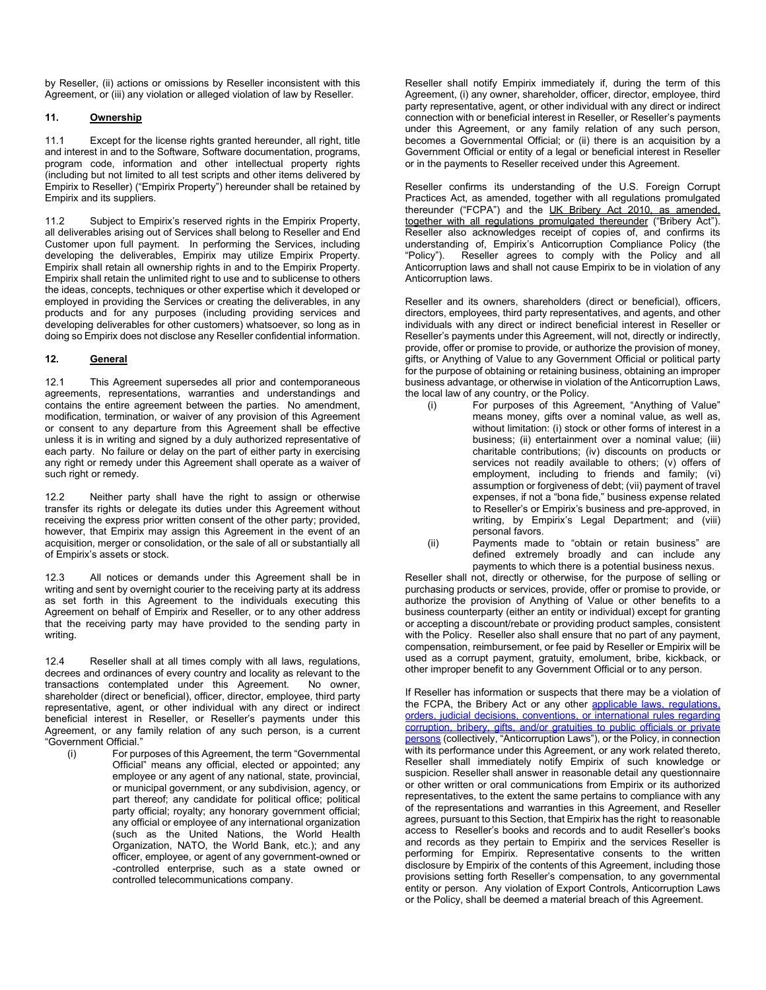by Reseller, (ii) actions or omissions by Reseller inconsistent with this Agreement, or (iii) any violation or alleged violation of law by Reseller.

# **11. Ownership**

11.1 Except for the license rights granted hereunder, all right, title and interest in and to the Software, Software documentation, programs, program code, information and other intellectual property rights (including but not limited to all test scripts and other items delivered by Empirix to Reseller) ("Empirix Property") hereunder shall be retained by Empirix and its suppliers.

11.2 Subject to Empirix's reserved rights in the Empirix Property, all deliverables arising out of Services shall belong to Reseller and End Customer upon full payment. In performing the Services, including developing the deliverables, Empirix may utilize Empirix Property. Empirix shall retain all ownership rights in and to the Empirix Property. Empirix shall retain the unlimited right to use and to sublicense to others the ideas, concepts, techniques or other expertise which it developed or employed in providing the Services or creating the deliverables, in any products and for any purposes (including providing services and developing deliverables for other customers) whatsoever, so long as in doing so Empirix does not disclose any Reseller confidential information.

# **12. General**

12.1 This Agreement supersedes all prior and contemporaneous agreements, representations, warranties and understandings and contains the entire agreement between the parties. No amendment, modification, termination, or waiver of any provision of this Agreement or consent to any departure from this Agreement shall be effective unless it is in writing and signed by a duly authorized representative of each party. No failure or delay on the part of either party in exercising any right or remedy under this Agreement shall operate as a waiver of such right or remedy.

12.2 Neither party shall have the right to assign or otherwise transfer its rights or delegate its duties under this Agreement without receiving the express prior written consent of the other party; provided, however, that Empirix may assign this Agreement in the event of an acquisition, merger or consolidation, or the sale of all or substantially all of Empirix's assets or stock.

12.3 All notices or demands under this Agreement shall be in writing and sent by overnight courier to the receiving party at its address as set forth in this Agreement to the individuals executing this Agreement on behalf of Empirix and Reseller, or to any other address that the receiving party may have provided to the sending party in writing.

12.4 Reseller shall at all times comply with all laws, regulations, decrees and ordinances of every country and locality as relevant to the transactions contemplated under this Agreement. No owner, shareholder (direct or beneficial), officer, director, employee, third party representative, agent, or other individual with any direct or indirect beneficial interest in Reseller, or Reseller's payments under this Agreement, or any family relation of any such person, is a current "Government Official."

(i) For purposes of this Agreement, the term "Governmental Official" means any official, elected or appointed; any employee or any agent of any national, state, provincial, or municipal government, or any subdivision, agency, or part thereof; any candidate for political office; political party official; royalty; any honorary government official; any official or employee of any international organization (such as the United Nations, the World Health Organization, NATO, the World Bank, etc.); and any officer, employee, or agent of any government-owned or -controlled enterprise, such as a state owned or controlled telecommunications company.

Reseller shall notify Empirix immediately if, during the term of this Agreement, (i) any owner, shareholder, officer, director, employee, third party representative, agent, or other individual with any direct or indirect connection with or beneficial interest in Reseller, or Reseller's payments under this Agreement, or any family relation of any such person, becomes a Governmental Official; or (ii) there is an acquisition by a Government Official or entity of a legal or beneficial interest in Reseller or in the payments to Reseller received under this Agreement.

Reseller confirms its understanding of the U.S. Foreign Corrupt Practices Act, as amended, together with all regulations promulgated thereunder ("FCPA") and the UK Bribery Act 2010, as amended, together with all regulations promulgated thereunder ("Bribery Act"). Reseller also acknowledges receipt of copies of, and confirms its understanding of, Empirix's Anticorruption Compliance Policy (the Reseller agrees to comply with the Policy and all Anticorruption laws and shall not cause Empirix to be in violation of any Anticorruption laws.

Reseller and its owners, shareholders (direct or beneficial), officers, directors, employees, third party representatives, and agents, and other individuals with any direct or indirect beneficial interest in Reseller or Reseller's payments under this Agreement, will not, directly or indirectly, provide, offer or promise to provide, or authorize the provision of money, gifts, or Anything of Value to any Government Official or political party for the purpose of obtaining or retaining business, obtaining an improper business advantage, or otherwise in violation of the Anticorruption Laws, the local law of any country, or the Policy.

- (i) For purposes of this Agreement, "Anything of Value" means money, gifts over a nominal value, as well as, without limitation: (i) stock or other forms of interest in a business; (ii) entertainment over a nominal value; (iii) charitable contributions; (iv) discounts on products or services not readily available to others; (v) offers of employment, including to friends and family; (vi) assumption or forgiveness of debt; (vii) payment of travel expenses, if not a "bona fide," business expense related to Reseller's or Empirix's business and pre-approved, in writing, by Empirix's Legal Department; and (viii) personal favors.
- (ii) Payments made to "obtain or retain business" are defined extremely broadly and can include any payments to which there is a potential business nexus.

Reseller shall not, directly or otherwise, for the purpose of selling or purchasing products or services, provide, offer or promise to provide, or authorize the provision of Anything of Value or other benefits to a business counterparty (either an entity or individual) except for granting or accepting a discount/rebate or providing product samples, consistent with the Policy. Reseller also shall ensure that no part of any payment, compensation, reimbursement, or fee paid by Reseller or Empirix will be used as a corrupt payment, gratuity, emolument, bribe, kickback, or other improper benefit to any Government Official or to any person.

If Reseller has information or suspects that there may be a violation of the FCPA, the Bribery Act or any other applicable laws, regulations, orders, judicial decisions, conventions, or international rules regarding corruption, bribery, gifts, and/or gratuities to public officials or private persons (collectively, "Anticorruption Laws"), or the Policy, in connection with its performance under this Agreement, or any work related thereto, Reseller shall immediately notify Empirix of such knowledge or suspicion. Reseller shall answer in reasonable detail any questionnaire or other written or oral communications from Empirix or its authorized representatives, to the extent the same pertains to compliance with any of the representations and warranties in this Agreement, and Reseller agrees, pursuant to this Section, that Empirix has the right to reasonable access to Reseller's books and records and to audit Reseller's books and records as they pertain to Empirix and the services Reseller is performing for Empirix. Representative consents to the written disclosure by Empirix of the contents of this Agreement, including those provisions setting forth Reseller's compensation, to any governmental entity or person. Any violation of Export Controls, Anticorruption Laws or the Policy, shall be deemed a material breach of this Agreement.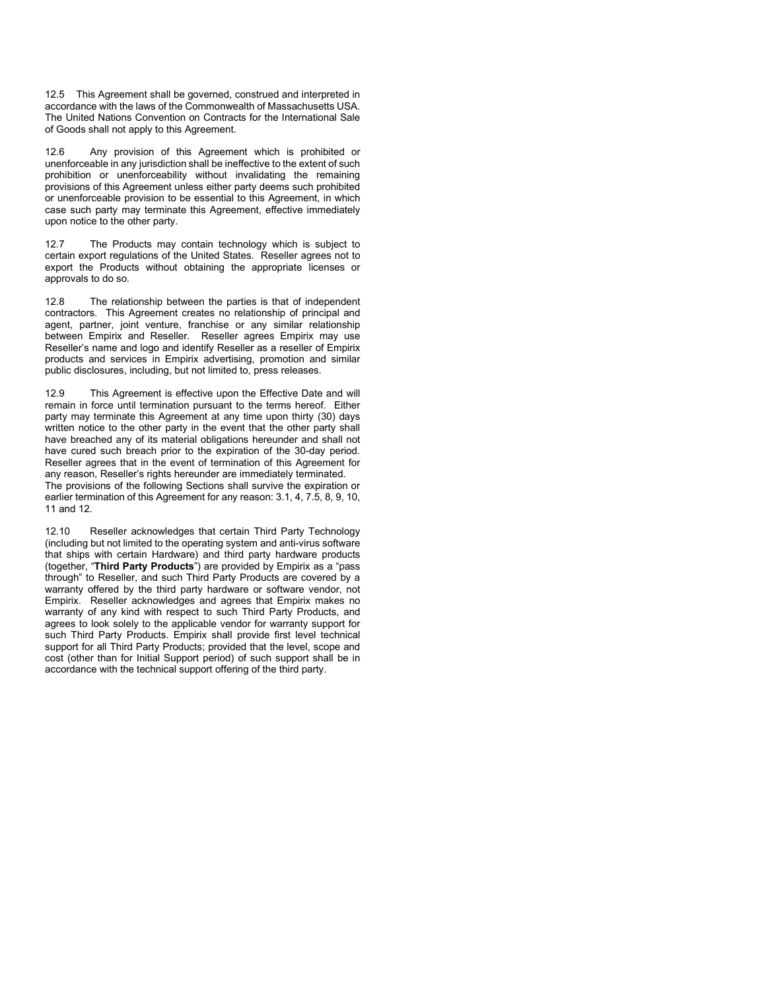12.5 This Agreement shall be governed, construed and interpreted in accordance with the laws of the Commonwealth of Massachusetts USA. The United Nations Convention on Contracts for the International Sale of Goods shall not apply to this Agreement.

12.6 Any provision of this Agreement which is prohibited or unenforceable in any jurisdiction shall be ineffective to the extent of such prohibition or unenforceability without invalidating the remaining provisions of this Agreement unless either party deems such prohibited or unenforceable provision to be essential to this Agreement, in which case such party may terminate this Agreement, effective immediately upon notice to the other party.

12.7 The Products may contain technology which is subject to certain export regulations of the United States. Reseller agrees not to export the Products without obtaining the appropriate licenses or approvals to do so.

12.8 The relationship between the parties is that of independent contractors. This Agreement creates no relationship of principal and agent, partner, joint venture, franchise or any similar relationship between Empirix and Reseller. Reseller agrees Empirix may use Reseller's name and logo and identify Reseller as a reseller of Empirix products and services in Empirix advertising, promotion and similar public disclosures, including, but not limited to, press releases.

12.9 This Agreement is effective upon the Effective Date and will remain in force until termination pursuant to the terms hereof. Either party may terminate this Agreement at any time upon thirty (30) days written notice to the other party in the event that the other party shall have breached any of its material obligations hereunder and shall not have cured such breach prior to the expiration of the 30-day period. Reseller agrees that in the event of termination of this Agreement for any reason, Reseller's rights hereunder are immediately terminated.

The provisions of the following Sections shall survive the expiration or earlier termination of this Agreement for any reason: 3.1, 4, 7.5, 8, 9, 10, 11 and 12.

12.10 Reseller acknowledges that certain Third Party Technology (including but not limited to the operating system and anti-virus software that ships with certain Hardware) and third party hardware products (together, "**Third Party Products**") are provided by Empirix as a "pass through" to Reseller, and such Third Party Products are covered by a warranty offered by the third party hardware or software vendor, not Empirix. Reseller acknowledges and agrees that Empirix makes no warranty of any kind with respect to such Third Party Products, and agrees to look solely to the applicable vendor for warranty support for such Third Party Products. Empirix shall provide first level technical support for all Third Party Products; provided that the level, scope and cost (other than for Initial Support period) of such support shall be in accordance with the technical support offering of the third party.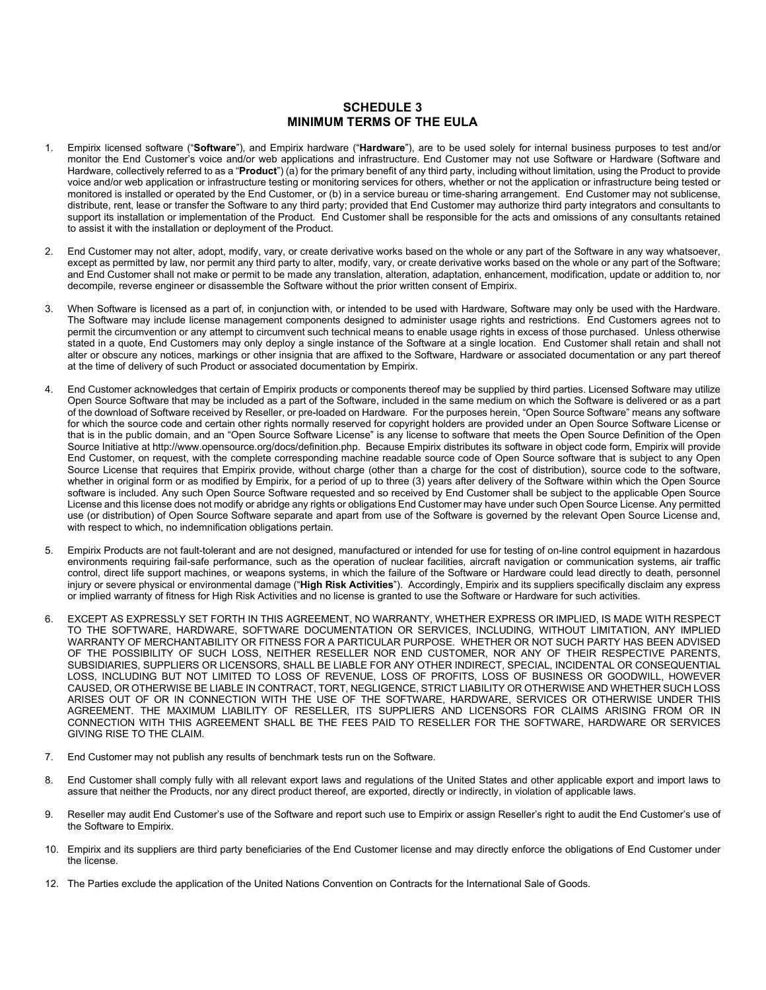# **SCHEDULE 3 MINIMUM TERMS OF THE EULA**

- 1. Empirix licensed software ("**Software**"), and Empirix hardware ("**Hardware**"), are to be used solely for internal business purposes to test and/or monitor the End Customer's voice and/or web applications and infrastructure. End Customer may not use Software or Hardware (Software and Hardware, collectively referred to as a "**Product**") (a) for the primary benefit of any third party, including without limitation, using the Product to provide voice and/or web application or infrastructure testing or monitoring services for others, whether or not the application or infrastructure being tested or monitored is installed or operated by the End Customer, or (b) in a service bureau or time-sharing arrangement. End Customer may not sublicense, distribute, rent, lease or transfer the Software to any third party; provided that End Customer may authorize third party integrators and consultants to support its installation or implementation of the Product. End Customer shall be responsible for the acts and omissions of any consultants retained to assist it with the installation or deployment of the Product.
- 2. End Customer may not alter, adopt, modify, vary, or create derivative works based on the whole or any part of the Software in any way whatsoever, except as permitted by law, nor permit any third party to alter, modify, vary, or create derivative works based on the whole or any part of the Software; and End Customer shall not make or permit to be made any translation, alteration, adaptation, enhancement, modification, update or addition to, nor decompile, reverse engineer or disassemble the Software without the prior written consent of Empirix.
- 3. When Software is licensed as a part of, in conjunction with, or intended to be used with Hardware, Software may only be used with the Hardware. The Software may include license management components designed to administer usage rights and restrictions. End Customers agrees not to permit the circumvention or any attempt to circumvent such technical means to enable usage rights in excess of those purchased. Unless otherwise stated in a quote, End Customers may only deploy a single instance of the Software at a single location. End Customer shall retain and shall not alter or obscure any notices, markings or other insignia that are affixed to the Software, Hardware or associated documentation or any part thereof at the time of delivery of such Product or associated documentation by Empirix.
- 4. End Customer acknowledges that certain of Empirix products or components thereof may be supplied by third parties. Licensed Software may utilize Open Source Software that may be included as a part of the Software, included in the same medium on which the Software is delivered or as a part of the download of Software received by Reseller, or pre-loaded on Hardware. For the purposes herein, "Open Source Software" means any software for which the source code and certain other rights normally reserved for copyright holders are provided under an Open Source Software License or that is in the public domain, and an "Open Source Software License" is any license to software that meets the Open Source Definition of the Open Source Initiative at http://www.opensource.org/docs/definition.php. Because Empirix distributes its software in object code form, Empirix will provide End Customer, on request, with the complete corresponding machine readable source code of Open Source software that is subject to any Open Source License that requires that Empirix provide, without charge (other than a charge for the cost of distribution), source code to the software, whether in original form or as modified by Empirix, for a period of up to three (3) years after delivery of the Software within which the Open Source software is included. Any such Open Source Software requested and so received by End Customer shall be subject to the applicable Open Source License and this license does not modify or abridge any rights or obligations End Customer may have under such Open Source License. Any permitted use (or distribution) of Open Source Software separate and apart from use of the Software is governed by the relevant Open Source License and, with respect to which, no indemnification obligations pertain.
- 5. Empirix Products are not fault-tolerant and are not designed, manufactured or intended for use for testing of on-line control equipment in hazardous environments requiring fail-safe performance, such as the operation of nuclear facilities, aircraft navigation or communication systems, air traffic control, direct life support machines, or weapons systems, in which the failure of the Software or Hardware could lead directly to death, personnel injury or severe physical or environmental damage ("**High Risk Activities**"). Accordingly, Empirix and its suppliers specifically disclaim any express or implied warranty of fitness for High Risk Activities and no license is granted to use the Software or Hardware for such activities.
- 6. EXCEPT AS EXPRESSLY SET FORTH IN THIS AGREEMENT, NO WARRANTY, WHETHER EXPRESS OR IMPLIED, IS MADE WITH RESPECT TO THE SOFTWARE, HARDWARE, SOFTWARE DOCUMENTATION OR SERVICES, INCLUDING, WITHOUT LIMITATION, ANY IMPLIED WARRANTY OF MERCHANTABILITY OR FITNESS FOR A PARTICULAR PURPOSE. WHETHER OR NOT SUCH PARTY HAS BEEN ADVISED OF THE POSSIBILITY OF SUCH LOSS, NEITHER RESELLER NOR END CUSTOMER, NOR ANY OF THEIR RESPECTIVE PARENTS, SUBSIDIARIES, SUPPLIERS OR LICENSORS, SHALL BE LIABLE FOR ANY OTHER INDIRECT, SPECIAL, INCIDENTAL OR CONSEQUENTIAL LOSS, INCLUDING BUT NOT LIMITED TO LOSS OF REVENUE, LOSS OF PROFITS, LOSS OF BUSINESS OR GOODWILL, HOWEVER CAUSED, OR OTHERWISE BE LIABLE IN CONTRACT, TORT, NEGLIGENCE, STRICT LIABILITY OR OTHERWISE AND WHETHER SUCH LOSS ARISES OUT OF OR IN CONNECTION WITH THE USE OF THE SOFTWARE, HARDWARE, SERVICES OR OTHERWISE UNDER THIS AGREEMENT. THE MAXIMUM LIABILITY OF RESELLER, ITS SUPPLIERS AND LICENSORS FOR CLAIMS ARISING FROM OR IN CONNECTION WITH THIS AGREEMENT SHALL BE THE FEES PAID TO RESELLER FOR THE SOFTWARE, HARDWARE OR SERVICES GIVING RISE TO THE CLAIM.
- 7. End Customer may not publish any results of benchmark tests run on the Software.
- 8. End Customer shall comply fully with all relevant export laws and regulations of the United States and other applicable export and import laws to assure that neither the Products, nor any direct product thereof, are exported, directly or indirectly, in violation of applicable laws.
- 9. Reseller may audit End Customer's use of the Software and report such use to Empirix or assign Reseller's right to audit the End Customer's use of the Software to Empirix.
- 10. Empirix and its suppliers are third party beneficiaries of the End Customer license and may directly enforce the obligations of End Customer under the license.
- 12. The Parties exclude the application of the United Nations Convention on Contracts for the International Sale of Goods.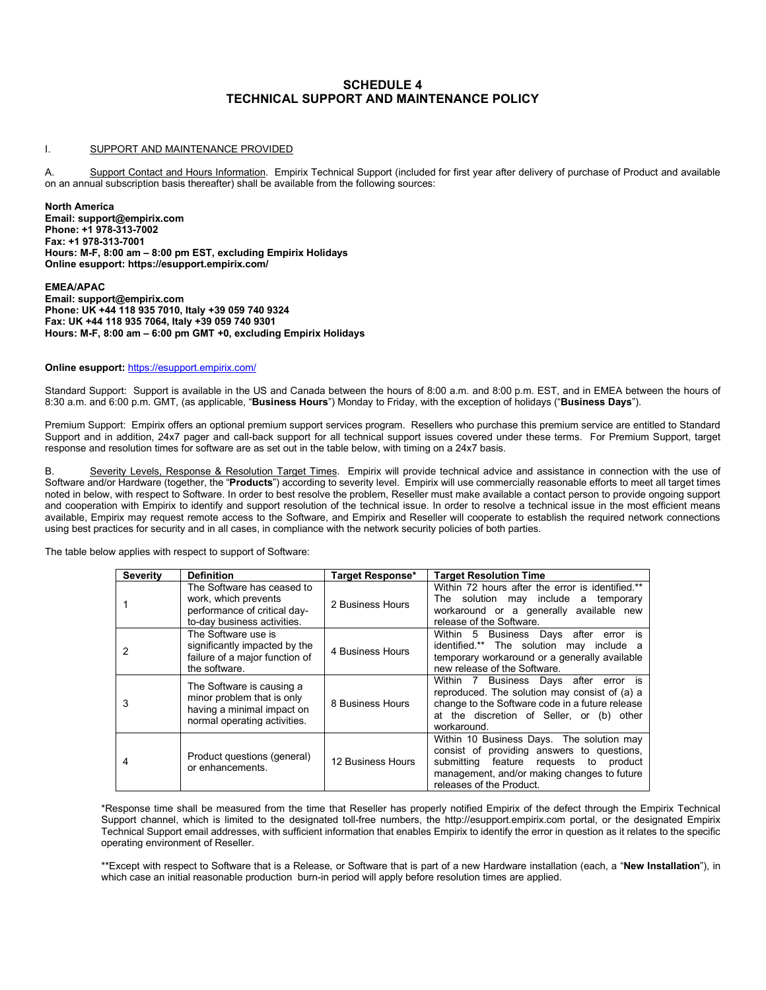# **SCHEDULE 4 TECHNICAL SUPPORT AND MAINTENANCE POLICY**

#### I. SUPPORT AND MAINTENANCE PROVIDED

A. Support Contact and Hours Information. Empirix Technical Support (included for first year after delivery of purchase of Product and available on an annual subscription basis thereafter) shall be available from the following sources:

**North America Email: support@empirix.com Phone: +1 978-313-7002 Fax: +1 978-313-7001 Hours: M-F, 8:00 am – 8:00 pm EST, excluding Empirix Holidays Online esupport: https://esupport.empirix.com/** 

**EMEA/APAC Email: support@empirix.com Phone: UK +44 118 935 7010, Italy +39 059 740 9324 Fax: UK +44 118 935 7064, Italy +39 059 740 9301 Hours: M-F, 8:00 am – 6:00 pm GMT +0, excluding Empirix Holidays**

#### **Online esupport:** <https://esupport.empirix.com/>

Standard Support: Support is available in the US and Canada between the hours of 8:00 a.m. and 8:00 p.m. EST, and in EMEA between the hours of 8:30 a.m. and 6:00 p.m. GMT, (as applicable, "**Business Hours**") Monday to Friday, with the exception of holidays ("**Business Days**").

Premium Support: Empirix offers an optional premium support services program. Resellers who purchase this premium service are entitled to Standard Support and in addition, 24x7 pager and call-back support for all technical support issues covered under these terms. For Premium Support, target response and resolution times for software are as set out in the table below, with timing on a 24x7 basis.

Severity Levels, Response & Resolution Target Times. Empirix will provide technical advice and assistance in connection with the use of Software and/or Hardware (together, the "**Products**") according to severity level. Empirix will use commercially reasonable efforts to meet all target times noted in below, with respect to Software. In order to best resolve the problem, Reseller must make available a contact person to provide ongoing support and cooperation with Empirix to identify and support resolution of the technical issue. In order to resolve a technical issue in the most efficient means available, Empirix may request remote access to the Software, and Empirix and Reseller will cooperate to establish the required network connections using best practices for security and in all cases, in compliance with the network security policies of both parties.

The table below applies with respect to support of Software:

| <b>Severity</b> | <b>Definition</b>                                                                                                     | Target Response*  | <b>Target Resolution Time</b>                                                                                                                                                                                   |
|-----------------|-----------------------------------------------------------------------------------------------------------------------|-------------------|-----------------------------------------------------------------------------------------------------------------------------------------------------------------------------------------------------------------|
|                 | The Software has ceased to<br>work, which prevents<br>performance of critical day-<br>to-day business activities.     | 2 Business Hours  | Within 72 hours after the error is identified.**<br>The solution may include a<br>temporary<br>workaround or a generally available new<br>release of the Software.                                              |
| 2               | The Software use is<br>significantly impacted by the<br>failure of a major function of<br>the software.               | 4 Business Hours  | Within 5 Business Days after<br>error is<br>identified.** The solution may include a<br>temporary workaround or a generally available<br>new release of the Software.                                           |
| 3               | The Software is causing a<br>minor problem that is only<br>having a minimal impact on<br>normal operating activities. | 8 Business Hours  | Within 7 Business Days after error is<br>reproduced. The solution may consist of (a) a<br>change to the Software code in a future release<br>at the discretion of Seller, or (b) other<br>workaround.           |
| 4               | Product questions (general)<br>or enhancements.                                                                       | 12 Business Hours | Within 10 Business Days. The solution may<br>consist of providing answers to questions,<br>submitting feature requests to<br>product<br>management, and/or making changes to future<br>releases of the Product. |

\*Response time shall be measured from the time that Reseller has properly notified Empirix of the defect through the Empirix Technical Support channel, which is limited to the designated toll-free numbers, the http://esupport.empirix.com portal, or the designated Empirix Technical Support email addresses, with sufficient information that enables Empirix to identify the error in question as it relates to the specific operating environment of Reseller.

\*\*Except with respect to Software that is a Release, or Software that is part of a new Hardware installation (each, a "**New Installation**"), in which case an initial reasonable production burn-in period will apply before resolution times are applied.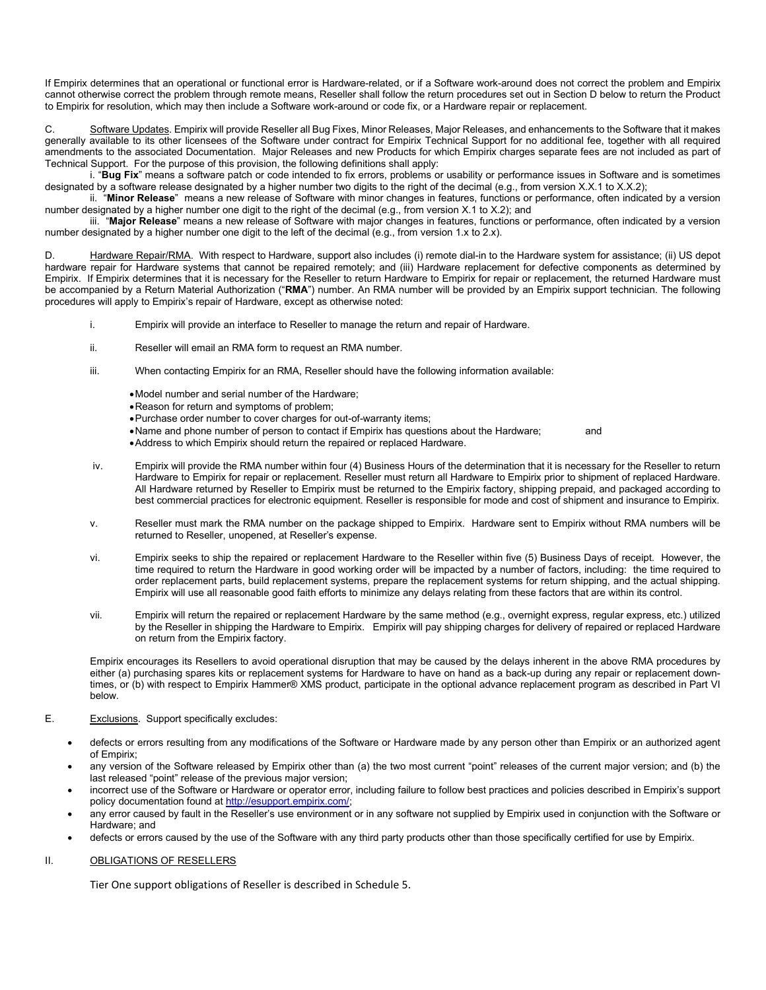If Empirix determines that an operational or functional error is Hardware-related, or if a Software work-around does not correct the problem and Empirix cannot otherwise correct the problem through remote means, Reseller shall follow the return procedures set out in Section D below to return the Product to Empirix for resolution, which may then include a Software work-around or code fix, or a Hardware repair or replacement.

C. Software Updates. Empirix will provide Reseller all Bug Fixes, Minor Releases, Major Releases, and enhancements to the Software that it makes generally available to its other licensees of the Software under contract for Empirix Technical Support for no additional fee, together with all required amendments to the associated Documentation. Major Releases and new Products for which Empirix charges separate fees are not included as part of Technical Support. For the purpose of this provision, the following definitions shall apply:

i. "**Bug Fix**" means a software patch or code intended to fix errors, problems or usability or performance issues in Software and is sometimes designated by a software release designated by a higher number two digits to the right of the decimal (e.g., from version X.X.1 to X.X.2);

ii. "**Minor Release**" means a new release of Software with minor changes in features, functions or performance, often indicated by a version number designated by a higher number one digit to the right of the decimal (e.g., from version X.1 to X.2); and

iii. "**Major Release**" means a new release of Software with major changes in features, functions or performance, often indicated by a version number designated by a higher number one digit to the left of the decimal (e.g., from version 1.x to 2.x).

Hardware Repair/RMA. With respect to Hardware, support also includes (i) remote dial-in to the Hardware system for assistance; (ii) US depot hardware repair for Hardware systems that cannot be repaired remotely; and (iii) Hardware replacement for defective components as determined by Empirix. If Empirix determines that it is necessary for the Reseller to return Hardware to Empirix for repair or replacement, the returned Hardware must be accompanied by a Return Material Authorization ("**RMA**") number. An RMA number will be provided by an Empirix support technician. The following procedures will apply to Empirix's repair of Hardware, except as otherwise noted:

- i. Empirix will provide an interface to Reseller to manage the return and repair of Hardware.
- ii. Reseller will email an RMA form to request an RMA number.
- iii. When contacting Empirix for an RMA, Reseller should have the following information available:
	- •Model number and serial number of the Hardware;
	- •Reason for return and symptoms of problem;
	- •Purchase order number to cover charges for out-of-warranty items;
	- Name and phone number of person to contact if Empirix has questions about the Hardware; and
	- •Address to which Empirix should return the repaired or replaced Hardware.
- iv. Empirix will provide the RMA number within four (4) Business Hours of the determination that it is necessary for the Reseller to return Hardware to Empirix for repair or replacement. Reseller must return all Hardware to Empirix prior to shipment of replaced Hardware. All Hardware returned by Reseller to Empirix must be returned to the Empirix factory, shipping prepaid, and packaged according to best commercial practices for electronic equipment. Reseller is responsible for mode and cost of shipment and insurance to Empirix.
- v. Reseller must mark the RMA number on the package shipped to Empirix. Hardware sent to Empirix without RMA numbers will be returned to Reseller, unopened, at Reseller's expense.
- vi. Empirix seeks to ship the repaired or replacement Hardware to the Reseller within five (5) Business Days of receipt. However, the time required to return the Hardware in good working order will be impacted by a number of factors, including: the time required to order replacement parts, build replacement systems, prepare the replacement systems for return shipping, and the actual shipping. Empirix will use all reasonable good faith efforts to minimize any delays relating from these factors that are within its control.
- vii. Empirix will return the repaired or replacement Hardware by the same method (e.g., overnight express, regular express, etc.) utilized by the Reseller in shipping the Hardware to Empirix. Empirix will pay shipping charges for delivery of repaired or replaced Hardware on return from the Empirix factory.

Empirix encourages its Resellers to avoid operational disruption that may be caused by the delays inherent in the above RMA procedures by either (a) purchasing spares kits or replacement systems for Hardware to have on hand as a back-up during any repair or replacement downtimes, or (b) with respect to Empirix Hammer® XMS product, participate in the optional advance replacement program as described in Part VI below.

#### E. Exclusions. Support specifically excludes:

- defects or errors resulting from any modifications of the Software or Hardware made by any person other than Empirix or an authorized agent of Empirix;
- any version of the Software released by Empirix other than (a) the two most current "point" releases of the current major version; and (b) the last released "point" release of the previous major version;
- incorrect use of the Software or Hardware or operator error, including failure to follow best practices and policies described in Empirix's support policy documentation found a[t http://esupport.empirix.com/;](http://esupport.empirix.com/)
- any error caused by fault in the Reseller's use environment or in any software not supplied by Empirix used in conjunction with the Software or Hardware; and
- defects or errors caused by the use of the Software with any third party products other than those specifically certified for use by Empirix.

### II. OBLIGATIONS OF RESELLERS

Tier One support obligations of Reseller is described in Schedule 5.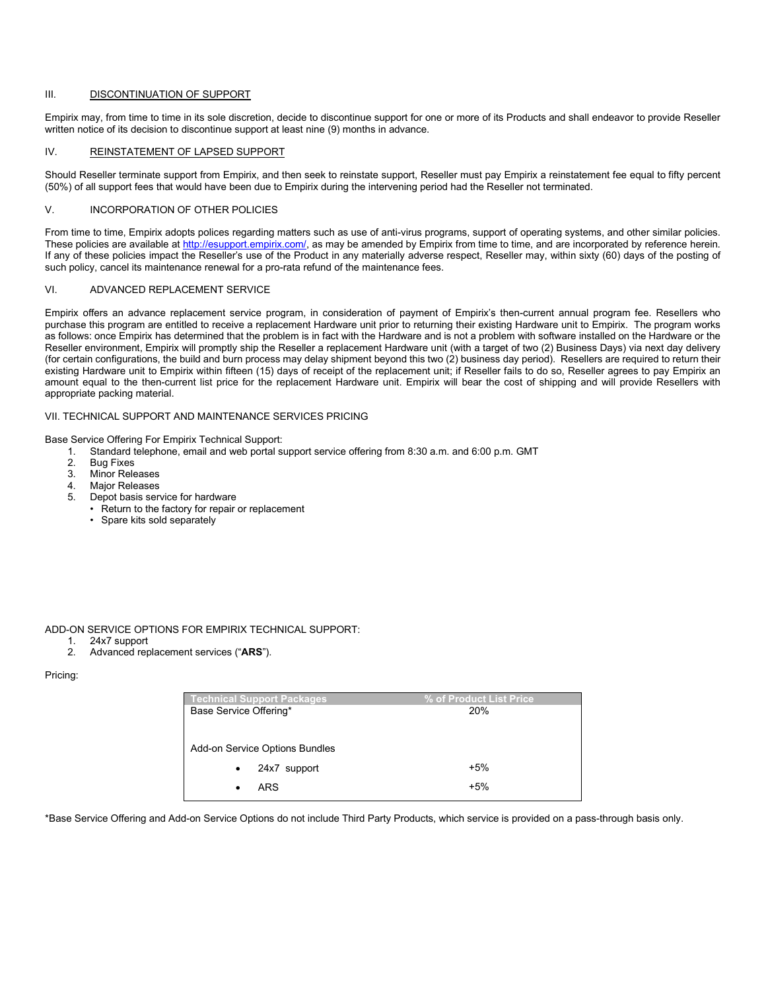#### III. DISCONTINUATION OF SUPPORT

Empirix may, from time to time in its sole discretion, decide to discontinue support for one or more of its Products and shall endeavor to provide Reseller written notice of its decision to discontinue support at least nine (9) months in advance.

# IV. REINSTATEMENT OF LAPSED SUPPORT

Should Reseller terminate support from Empirix, and then seek to reinstate support, Reseller must pay Empirix a reinstatement fee equal to fifty percent (50%) of all support fees that would have been due to Empirix during the intervening period had the Reseller not terminated.

#### V. INCORPORATION OF OTHER POLICIES

From time to time, Empirix adopts polices regarding matters such as use of anti-virus programs, support of operating systems, and other similar policies. These policies are available at [http://esupport.empirix.com/,](http://esupport.empirix.com/) as may be amended by Empirix from time to time, and are incorporated by reference herein. If any of these policies impact the Reseller's use of the Product in any materially adverse respect, Reseller may, within sixty (60) days of the posting of such policy, cancel its maintenance renewal for a pro-rata refund of the maintenance fees.

#### VI. ADVANCED REPLACEMENT SERVICE

Empirix offers an advance replacement service program, in consideration of payment of Empirix's then-current annual program fee. Resellers who purchase this program are entitled to receive a replacement Hardware unit prior to returning their existing Hardware unit to Empirix. The program works as follows: once Empirix has determined that the problem is in fact with the Hardware and is not a problem with software installed on the Hardware or the Reseller environment, Empirix will promptly ship the Reseller a replacement Hardware unit (with a target of two (2) Business Days) via next day delivery (for certain configurations, the build and burn process may delay shipment beyond this two (2) business day period). Resellers are required to return their existing Hardware unit to Empirix within fifteen (15) days of receipt of the replacement unit; if Reseller fails to do so, Reseller agrees to pay Empirix an amount equal to the then-current list price for the replacement Hardware unit. Empirix will bear the cost of shipping and will provide Resellers with appropriate packing material.

#### VII. TECHNICAL SUPPORT AND MAINTENANCE SERVICES PRICING

Base Service Offering For Empirix Technical Support:

- 1. Standard telephone, email and web portal support service offering from 8:30 a.m. and 6:00 p.m. GMT
- **Bug Fixes**
- 3. Minor Releases
- 4. Major Releases<br>5. Depot basis sen
- Depot basis service for hardware
- Return to the factory for repair or replacement
- Spare kits sold separately

#### ADD-ON SERVICE OPTIONS FOR EMPIRIX TECHNICAL SUPPORT:

- 1. 24x7 support
- 2. Advanced replacement services ("**ARS**").

Pricing:

| <b>Technical Support Packages</b> | % of Product List Price |
|-----------------------------------|-------------------------|
| Base Service Offering*            | 20%                     |
|                                   |                         |
|                                   |                         |
| Add-on Service Options Bundles    |                         |
| 24x7 support<br>٠                 | $+5%$                   |
|                                   |                         |
| ARS                               | $+5%$                   |
|                                   |                         |

\*Base Service Offering and Add-on Service Options do not include Third Party Products, which service is provided on a pass-through basis only.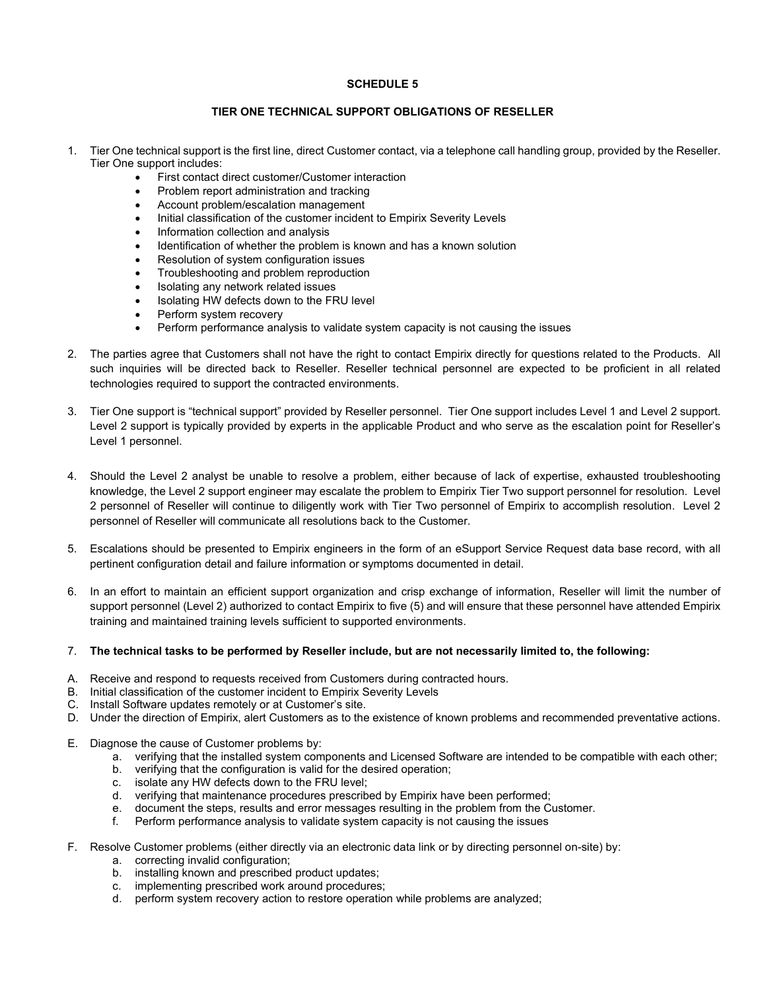# **SCHEDULE 5**

# **TIER ONE TECHNICAL SUPPORT OBLIGATIONS OF RESELLER**

- 1. Tier One technical support is the first line, direct Customer contact, via a telephone call handling group, provided by the Reseller. Tier One support includes:
	- First contact direct customer/Customer interaction
	- Problem report administration and tracking
	- Account problem/escalation management
	- Initial classification of the customer incident to Empirix Severity Levels
	- Information collection and analysis
	- Identification of whether the problem is known and has a known solution
	- Resolution of system configuration issues
	- Troubleshooting and problem reproduction
	- Isolating any network related issues
	- Isolating HW defects down to the FRU level
	- Perform system recovery
	- Perform performance analysis to validate system capacity is not causing the issues
- 2. The parties agree that Customers shall not have the right to contact Empirix directly for questions related to the Products. All such inquiries will be directed back to Reseller. Reseller technical personnel are expected to be proficient in all related technologies required to support the contracted environments.
- 3. Tier One support is "technical support" provided by Reseller personnel. Tier One support includes Level 1 and Level 2 support. Level 2 support is typically provided by experts in the applicable Product and who serve as the escalation point for Reseller's Level 1 personnel.
- 4. Should the Level 2 analyst be unable to resolve a problem, either because of lack of expertise, exhausted troubleshooting knowledge, the Level 2 support engineer may escalate the problem to Empirix Tier Two support personnel for resolution. Level 2 personnel of Reseller will continue to diligently work with Tier Two personnel of Empirix to accomplish resolution. Level 2 personnel of Reseller will communicate all resolutions back to the Customer.
- 5. Escalations should be presented to Empirix engineers in the form of an eSupport Service Request data base record, with all pertinent configuration detail and failure information or symptoms documented in detail.
- 6. In an effort to maintain an efficient support organization and crisp exchange of information, Reseller will limit the number of support personnel (Level 2) authorized to contact Empirix to five (5) and will ensure that these personnel have attended Empirix training and maintained training levels sufficient to supported environments.

# 7. **The technical tasks to be performed by Reseller include, but are not necessarily limited to, the following:**

- A. Receive and respond to requests received from Customers during contracted hours.
- B. Initial classification of the customer incident to Empirix Severity Levels
- C. Install Software updates remotely or at Customer's site.
- D. Under the direction of Empirix, alert Customers as to the existence of known problems and recommended preventative actions.
- E. Diagnose the cause of Customer problems by:
	- a. verifying that the installed system components and Licensed Software are intended to be compatible with each other;
	- b. verifying that the configuration is valid for the desired operation;
	- c. isolate any HW defects down to the FRU level;
	- d. verifying that maintenance procedures prescribed by Empirix have been performed;
	- e. document the steps, results and error messages resulting in the problem from the Customer.
	- f. Perform performance analysis to validate system capacity is not causing the issues
- F. Resolve Customer problems (either directly via an electronic data link or by directing personnel on-site) by:
	- a. correcting invalid configuration;
		- b. installing known and prescribed product updates;
		- c. implementing prescribed work around procedures;
		- d. perform system recovery action to restore operation while problems are analyzed;